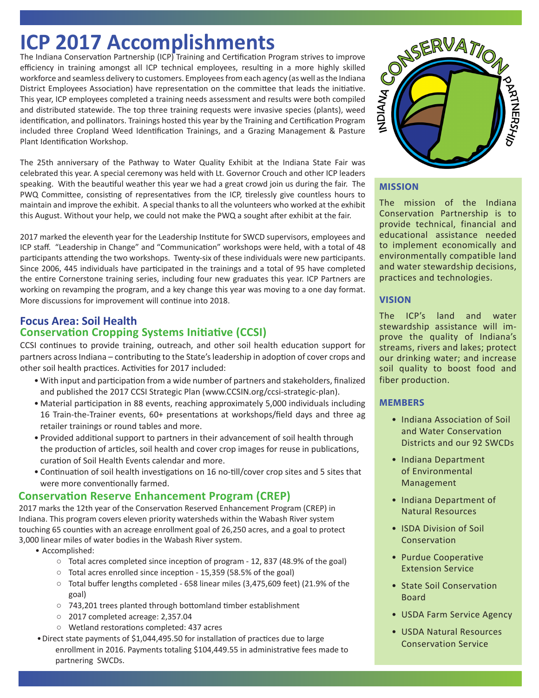# **ICP 2017 Accomplishments**

The Indiana Conservation Partnership (ICP) Training and Certification Program strives to improve efficiency in training amongst all ICP technical employees, resulting in a more highly skilled workforce and seamless delivery to customers. Employees from each agency (as well as the Indiana District Employees Association) have representation on the committee that leads the initiative. This year, ICP employees completed a training needs assessment and results were both compiled and distributed statewide. The top three training requests were invasive species (plants), weed identification, and pollinators. Trainings hosted this year by the Training and Certification Program included three Cropland Weed Identification Trainings, and a Grazing Management & Pasture Plant Identification Workshop.

The 25th anniversary of the Pathway to Water Quality Exhibit at the Indiana State Fair was celebrated this year. A special ceremony was held with Lt. Governor Crouch and other ICP leaders speaking. With the beautiful weather this year we had a great crowd join us during the fair. The PWQ Committee, consisting of representatives from the ICP, tirelessly give countless hours to maintain and improve the exhibit. A special thanks to all the volunteers who worked at the exhibit this August. Without your help, we could not make the PWQ a sought after exhibit at the fair.

2017 marked the eleventh year for the Leadership Institute for SWCD supervisors, employees and ICP staff. "Leadership in Change" and "Communication" workshops were held, with a total of 48 participants attending the two workshops. Twenty-six of these individuals were new participants. Since 2006, 445 individuals have participated in the trainings and a total of 95 have completed the entire Cornerstone training series, including four new graduates this year. ICP Partners are working on revamping the program, and a key change this year was moving to a one day format. More discussions for improvement will continue into 2018.

## **Focus Area: Soil Health Conservation Cropping Systems Initiative (CCSI)**

CCSI continues to provide training, outreach, and other soil health education support for partners across Indiana – contributing to the State's leadership in adoption of cover crops and other soil health practices. Activities for 2017 included:

- With input and participation from a wide number of partners and stakeholders, finalized and published the 2017 CCSI Strategic Plan (www.CCSIN.org/ccsi-strategic-plan).
- Material participation in 88 events, reaching approximately 5,000 individuals including 16 Train-the-Trainer events, 60+ presentations at workshops/field days and three ag retailer trainings or round tables and more.
- Provided additional support to partners in their advancement of soil health through the production of articles, soil health and cover crop images for reuse in publications, curation of Soil Health Events calendar and more.
- Continuation of soil health investigations on 16 no-till/cover crop sites and 5 sites that were more conventionally farmed.

# **Conservation Reserve Enhancement Program (CREP)**

2017 marks the 12th year of the Conservation Reserved Enhancement Program (CREP) in Indiana. This program covers eleven priority watersheds within the Wabash River system touching 65 counties with an acreage enrollment goal of 26,250 acres, and a goal to protect 3,000 linear miles of water bodies in the Wabash River system.

- Accomplished:
	- Total acres completed since inception of program 12, 837 (48.9% of the goal)
	- Total acres enrolled since inception 15,359 (58.5% of the goal)
	- Total buffer lengths completed 658 linear miles (3,475,609 feet) (21.9% of the goal)
	- 743,201 trees planted through bottomland timber establishment
	- 2017 completed acreage: 2,357.04
	- Wetland restorations completed: 437 acres
- •Direct state payments of \$1,044,495.50 for installation of practices due to large enrollment in 2016. Payments totaling \$104,449.55 in administrative fees made to partnering SWCDs.



# **MISSION**

The mission of the Indiana Conservation Partnership is to provide technical, financial and educational assistance needed to implement economically and environmentally compatible land and water stewardship decisions, practices and technologies.

#### **VISION**

The ICP's land and water stewardship assistance will improve the quality of Indiana's streams, rivers and lakes; protect our drinking water; and increase soil quality to boost food and fiber production.

#### **MEMBERS**

- Indiana Association of Soil and Water Conservation Districts and our 92 SWCDs
- Indiana Department of Environmental Management
- Indiana Department of Natural Resources
- ISDA Division of Soil Conservation
- Purdue Cooperative Extension Service
- State Soil Conservation Board
- USDA Farm Service Agency
- USDA Natural Resources Conservation Service